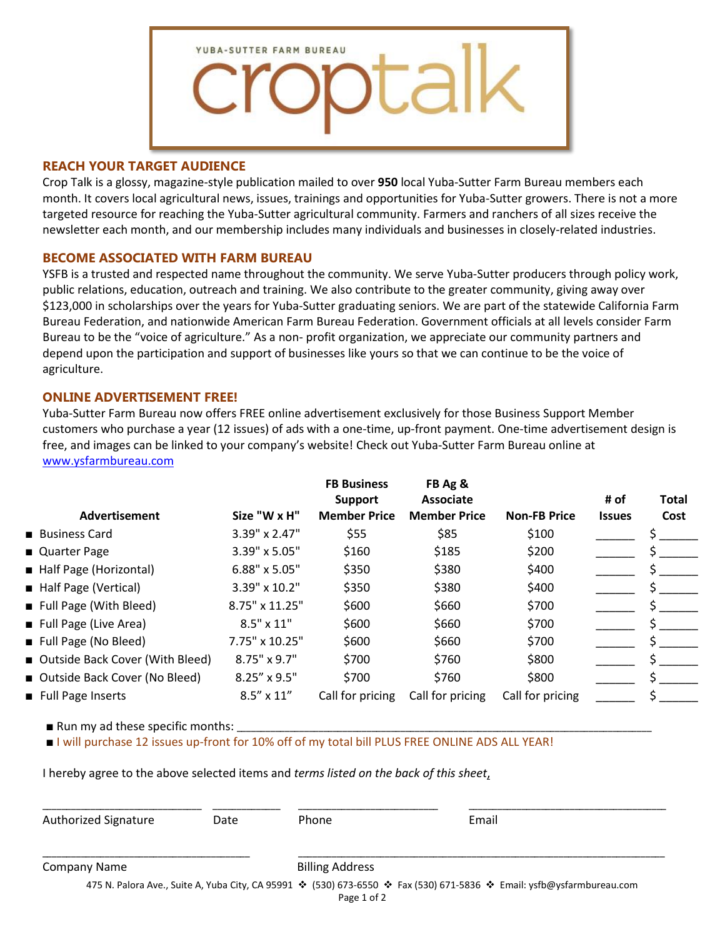

## **REACH YOUR TARGET AUDIENCE**

Crop Talk is a glossy, magazine-style publication mailed to over **950** local Yuba-Sutter Farm Bureau members each month. It covers local agricultural news, issues, trainings and opportunities for Yuba-Sutter growers. There is not a more targeted resource for reaching the Yuba-Sutter agricultural community. Farmers and ranchers of all sizes receive the newsletter each month, and our membership includes many individuals and businesses in closely-related industries.

## **BECOME ASSOCIATED WITH FARM BUREAU**

YSFB is a trusted and respected name throughout the community. We serve Yuba-Sutter producers through policy work, public relations, education, outreach and training. We also contribute to the greater community, giving away over \$123,000 in scholarships over the years for Yuba-Sutter graduating seniors. We are part of the statewide California Farm Bureau Federation, and nationwide American Farm Bureau Federation. Government officials at all levels consider Farm Bureau to be the "voice of agriculture." As a non- profit organization, we appreciate our community partners and depend upon the participation and support of businesses like yours so that we can continue to be the voice of agriculture.

## **ONLINE ADVERTISEMENT FREE!**

Yuba-Sutter Farm Bureau now offers FREE online advertisement exclusively for those Business Support Member customers who purchase a year (12 issues) of ads with a one-time, up-front payment. One-time advertisement design is free, and images can be linked to your company's website! Check out Yuba-Sutter Farm Bureau online at [www.ysfarmbureau.com](http://www.ysfarmbureau.com/)

| Advertisement                     | Size "W x H"        | <b>FB Business</b><br><b>Support</b><br><b>Member Price</b> | FB Ag &<br>Associate<br><b>Member Price</b> | <b>Non-FB Price</b> | # of<br><b>Issues</b> | <b>Total</b><br>Cost |
|-----------------------------------|---------------------|-------------------------------------------------------------|---------------------------------------------|---------------------|-----------------------|----------------------|
| ■ Business Card                   | 3.39" x 2.47"       | \$55                                                        | \$85                                        | \$100               |                       |                      |
| ■ Quarter Page                    | 3.39" x 5.05"       | \$160                                                       | \$185                                       | \$200               |                       |                      |
| Half Page (Horizontal)            | 6.88" x 5.05"       | \$350                                                       | \$380                                       | \$400               |                       |                      |
| Half Page (Vertical)              | 3.39" x 10.2"       | \$350                                                       | \$380                                       | \$400               |                       |                      |
| Full Page (With Bleed)            | 8.75" x 11.25"      | \$600                                                       | \$660                                       | \$700               |                       |                      |
| Full Page (Live Area)             | $8.5" \times 11"$   | \$600                                                       | \$660                                       | \$700               |                       |                      |
| Full Page (No Bleed)              | 7.75" x 10.25"      | \$600                                                       | \$660                                       | \$700               |                       |                      |
| ■ Outside Back Cover (With Bleed) | $8.75" \times 9.7"$ | \$700                                                       | \$760                                       | \$800               |                       |                      |
| ■ Outside Back Cover (No Bleed)   | 8.25" x 9.5"        | \$700                                                       | \$760                                       | \$800               |                       |                      |
| Full Page Inserts                 | $8.5'' \times 11''$ | Call for pricing                                            | Call for pricing                            | Call for pricing    |                       |                      |

 $\blacksquare$  Run my ad these specific months:

■ I will purchase 12 issues up-front for 10% off of my total bill PLUS FREE ONLINE ADS ALL YEAR!

I hereby agree to the above selected items and *terms listed on the back of this sheet*,

| Authorized Signature | Date | Phone                  | Email                                                                                                                 |
|----------------------|------|------------------------|-----------------------------------------------------------------------------------------------------------------------|
| Company Name         |      | <b>Billing Address</b> |                                                                                                                       |
|                      |      | Page 1 of 2            | 475 N. Palora Ave., Suite A, Yuba City, CA 95991 ❖ (530) 673-6550 ❖ Fax (530) 671-5836 ❖ Email: ysfb@ysfarmbureau.com |